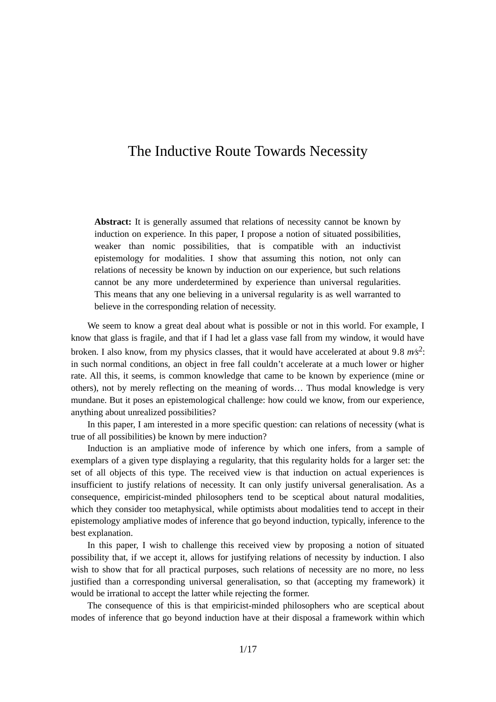# The Inductive Route Towards Necessity

**Abstract:** It is generally assumed that relations of necessity cannot be known by induction on experience. In this paper, I propose a notion of situated possibilities, weaker than nomic possibilities, that is compatible with an inductivist epistemology for modalities. I show that assuming this notion, not only can relations of necessity be known by induction on our experience, but such relations cannot be any more underdetermined by experience than universal regularities. This means that any one believing in a universal regularity is as well warranted to believe in the corresponding relation of necessity.

We seem to know a great deal about what is possible or not in this world. For example, I know that glass is fragile, and that if I had let a glass vase fall from my window, it would have broken. I also know, from my physics classes, that it would have accelerated at about 9*.*8 *m∕s*<sup>2</sup> : in such normal conditions, an object in free fall couldn't accelerate at a much lower or higher rate. All this, it seems, is common knowledge that came to be known by experience (mine or others), not by merely reflecting on the meaning of words… Thus modal knowledge is very mundane. But it poses an epistemological challenge: how could we know, from our experience, anything about unrealized possibilities?

In this paper, I am interested in a more specific question: can relations of necessity (what is true of all possibilities) be known by mere induction?

Induction is an ampliative mode of inference by which one infers, from a sample of exemplars of a given type displaying a regularity, that this regularity holds for a larger set: the set of all objects of this type. The received view is that induction on actual experiences is insufficient to justify relations of necessity. It can only justify universal generalisation. As a consequence, empiricist-minded philosophers tend to be sceptical about natural modalities, which they consider too metaphysical, while optimists about modalities tend to accept in their epistemology ampliative modes of inference that go beyond induction, typically, inference to the best explanation.

In this paper, I wish to challenge this received view by proposing a notion of situated possibility that, if we accept it, allows for justifying relations of necessity by induction. I also wish to show that for all practical purposes, such relations of necessity are no more, no less justified than a corresponding universal generalisation, so that (accepting my framework) it would be irrational to accept the latter while rejecting the former.

The consequence of this is that empiricist-minded philosophers who are sceptical about modes of inference that go beyond induction have at their disposal a framework within which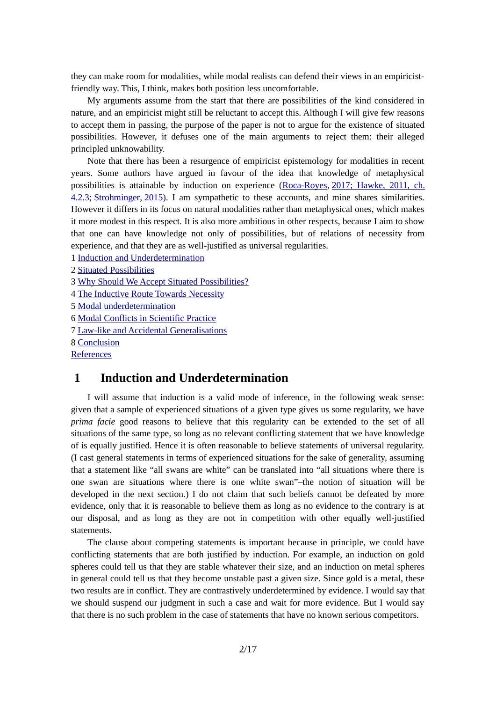they can make room for modalities, while modal realists can defend their views in an empiricistfriendly way. This, I think, makes both position less uncomfortable.

My arguments assume from the start that there are possibilities of the kind considered in nature, and an empiricist might still be reluctant to accept this. Although I will give few reasons to accept them in passing, the purpose of the paper is not to argue for the existence of situated possibilities. However, it defuses one of the main arguments to reject them: their alleged principled unknowability.

Note that there has been a resurgence of empiricist epistemology for modalities in recent years. Some authors have argued in favour of the idea that knowledge of metaphysical possibilities is attainable by induction on experience (Roca-Royes, 2017; Hawke, 2011, ch. 4.2.3; [Strohminger](#page-15-1), [2015](#page-15-1)). I am sympathetic to these accounts, and mine shares similarities. However it differs in its focus on natural modalities rather than metaphysical ones, which makes it more modest in this respect. It is also more ambitious in other respects, because I aim to show that one can have knowledge not only of possibilities, but of relations of necessity from experience, and that they are as well-justified as universal regularities.

1 [Induction and Underdetermination](#page-1-0)

2 [Situated Possibilities](#page-3-0)

3 [Why Should We Accept Situated Possibilities?](#page-4-0)

4 [The Inductive Route Towards Necessity](#page-5-0)

5 [Modal underdetermination](#page-8-0)

6 [Modal Conflicts in Scientific Practice](#page-11-0)

7 [Law-like and Accidental Generalisations](#page-13-0)

8 [Conclusion](#page-14-0)

**References** 

# <span id="page-1-0"></span> **1 Induction and Underdetermination**

I will assume that induction is a valid mode of inference, in the following weak sense: given that a sample of experienced situations of a given type gives us some regularity, we have *prima facie* good reasons to believe that this regularity can be extended to the set of all situations of the same type, so long as no relevant conflicting statement that we have knowledge of is equally justified. Hence it is often reasonable to believe statements of universal regularity. (I cast general statements in terms of experienced situations for the sake of generality, assuming that a statement like "all swans are white" can be translated into "all situations where there is one swan are situations where there is one white swan"–the notion of situation will be developed in the next section.) I do not claim that such beliefs cannot be defeated by more evidence, only that it is reasonable to believe them as long as no evidence to the contrary is at our disposal, and as long as they are not in competition with other equally well-justified statements.

The clause about competing statements is important because in principle, we could have conflicting statements that are both justified by induction. For example, an induction on gold spheres could tell us that they are stable whatever their size, and an induction on metal spheres in general could tell us that they become unstable past a given size. Since gold is a metal, these two results are in conflict. They are contrastively underdetermined by evidence. I would say that we should suspend our judgment in such a case and wait for more evidence. But I would say that there is no such problem in the case of statements that have no known serious competitors.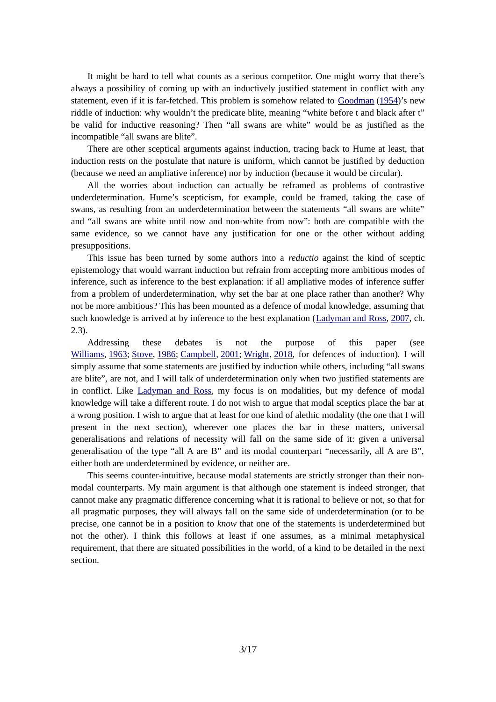It might be hard to tell what counts as a serious competitor. One might worry that there's always a possibility of coming up with an inductively justified statement in conflict with any statement, even if it is far-fetched. This problem is somehow related to [Goodman](#page-15-5) ([1954\)](#page-15-5)'s new riddle of induction: why wouldn't the predicate blite, meaning "white before t and black after t" be valid for inductive reasoning? Then "all swans are white" would be as justified as the incompatible "all swans are blite".

There are other sceptical arguments against induction, tracing back to Hume at least, that induction rests on the postulate that nature is uniform, which cannot be justified by deduction (because we need an ampliative inference) nor by induction (because it would be circular).

All the worries about induction can actually be reframed as problems of contrastive underdetermination. Hume's scepticism, for example, could be framed, taking the case of swans, as resulting from an underdetermination between the statements "all swans are white" and "all swans are white until now and non-white from now": both are compatible with the same evidence, so we cannot have any justification for one or the other without adding presuppositions.

This issue has been turned by some authors into a *reductio* against the kind of sceptic epistemology that would warrant induction but refrain from accepting more ambitious modes of inference, such as inference to the best explanation: if all ampliative modes of inference suffer from a problem of underdetermination, why set the bar at one place rather than another? Why not be more ambitious? This has been mounted as a defence of modal knowledge, assuming that such knowledge is arrived at by inference to the best explanation ([Ladyman and Ross](#page-15-2), [2007](#page-15-2), ch. 2.3).

Addressing these debates is not the purpose of this paper (see [Williams](#page-16-1), [1963;](#page-16-1) [Stove](#page-15-4), [1986;](#page-15-4) [Campbell](#page-15-3), [2001](#page-15-3); [Wright,](#page-16-0) [2018](#page-16-0), for defences of induction). I will simply assume that some statements are justified by induction while others, including "all swans are blite", are not, and I will talk of underdetermination only when two justified statements are in conflict. Like [Ladyman and Ross](#page-15-2), my focus is on modalities, but my defence of modal knowledge will take a different route. I do not wish to argue that modal sceptics place the bar at a wrong position. I wish to argue that at least for one kind of alethic modality (the one that I will present in the next section), wherever one places the bar in these matters, universal generalisations and relations of necessity will fall on the same side of it: given a universal generalisation of the type "all A are B" and its modal counterpart "necessarily, all A are B", either both are underdetermined by evidence, or neither are.

This seems counter-intuitive, because modal statements are strictly stronger than their nonmodal counterparts. My main argument is that although one statement is indeed stronger, that cannot make any pragmatic difference concerning what it is rational to believe or not, so that for all pragmatic purposes, they will always fall on the same side of underdetermination (or to be precise, one cannot be in a position to *know* that one of the statements is underdetermined but not the other). I think this follows at least if one assumes, as a minimal metaphysical requirement, that there are situated possibilities in the world, of a kind to be detailed in the next section.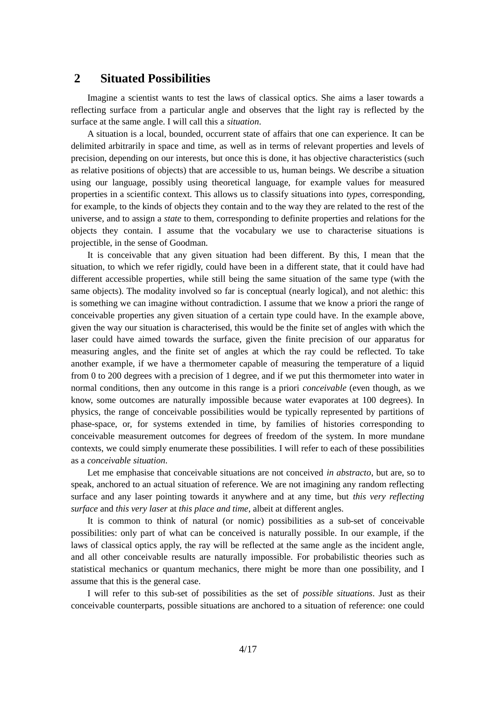### <span id="page-3-0"></span> **2 Situated Possibilities**

Imagine a scientist wants to test the laws of classical optics. She aims a laser towards a reflecting surface from a particular angle and observes that the light ray is reflected by the surface at the same angle. I will call this a *situation*.

A situation is a local, bounded, occurrent state of affairs that one can experience. It can be delimited arbitrarily in space and time, as well as in terms of relevant properties and levels of precision, depending on our interests, but once this is done, it has objective characteristics (such as relative positions of objects) that are accessible to us, human beings. We describe a situation using our language, possibly using theoretical language, for example values for measured properties in a scientific context. This allows us to classify situations into *types*, corresponding, for example, to the kinds of objects they contain and to the way they are related to the rest of the universe, and to assign a *state* to them, corresponding to definite properties and relations for the objects they contain. I assume that the vocabulary we use to characterise situations is projectible, in the sense of Goodman.

It is conceivable that any given situation had been different. By this, I mean that the situation, to which we refer rigidly, could have been in a different state, that it could have had different accessible properties, while still being the same situation of the same type (with the same objects). The modality involved so far is conceptual (nearly logical), and not alethic: this is something we can imagine without contradiction. I assume that we know a priori the range of conceivable properties any given situation of a certain type could have. In the example above, given the way our situation is characterised, this would be the finite set of angles with which the laser could have aimed towards the surface, given the finite precision of our apparatus for measuring angles, and the finite set of angles at which the ray could be reflected. To take another example, if we have a thermometer capable of measuring the temperature of a liquid from 0 to 200 degrees with a precision of 1 degree, and if we put this thermometer into water in normal conditions, then any outcome in this range is a priori *conceivable* (even though, as we know, some outcomes are naturally impossible because water evaporates at 100 degrees). In physics, the range of conceivable possibilities would be typically represented by partitions of phase-space, or, for systems extended in time, by families of histories corresponding to conceivable measurement outcomes for degrees of freedom of the system. In more mundane contexts, we could simply enumerate these possibilities. I will refer to each of these possibilities as a *conceivable situation*.

Let me emphasise that conceivable situations are not conceived *in abstracto*, but are, so to speak, anchored to an actual situation of reference. We are not imagining any random reflecting surface and any laser pointing towards it anywhere and at any time, but *this very reflecting surface* and *this very laser* at *this place and time*, albeit at different angles.

It is common to think of natural (or nomic) possibilities as a sub-set of conceivable possibilities: only part of what can be conceived is naturally possible. In our example, if the laws of classical optics apply, the ray will be reflected at the same angle as the incident angle, and all other conceivable results are naturally impossible. For probabilistic theories such as statistical mechanics or quantum mechanics, there might be more than one possibility, and I assume that this is the general case.

I will refer to this sub-set of possibilities as the set of *possible situations*. Just as their conceivable counterparts, possible situations are anchored to a situation of reference: one could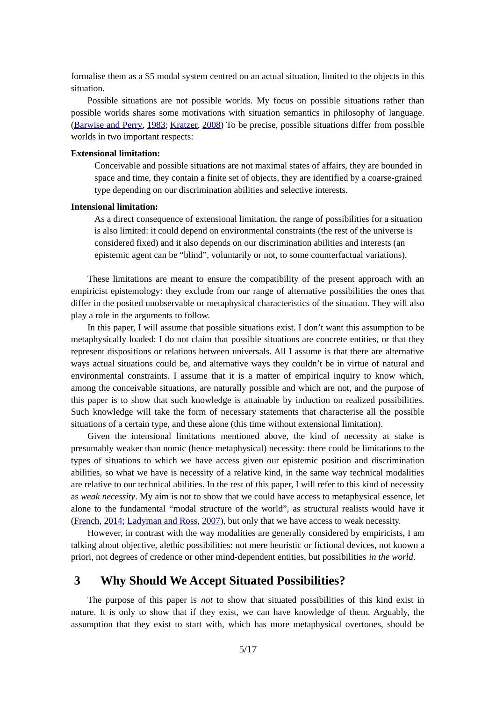formalise them as a S5 modal system centred on an actual situation, limited to the objects in this situation.

Possible situations are not possible worlds. My focus on possible situations rather than possible worlds shares some motivations with situation semantics in philosophy of language. ([Barwise and Perry](#page-15-8), [1983;](#page-15-8) [Kratzer](#page-15-7), [2008\)](#page-15-7) To be precise, possible situations differ from possible worlds in two important respects:

#### **Extensional limitation:**

Conceivable and possible situations are not maximal states of affairs, they are bounded in space and time, they contain a finite set of objects, they are identified by a coarse-grained type depending on our discrimination abilities and selective interests.

#### **Intensional limitation:**

As a direct consequence of extensional limitation, the range of possibilities for a situation is also limited: it could depend on environmental constraints (the rest of the universe is considered fixed) and it also depends on our discrimination abilities and interests (an epistemic agent can be "blind", voluntarily or not, to some counterfactual variations).

These limitations are meant to ensure the compatibility of the present approach with an empiricist epistemology: they exclude from our range of alternative possibilities the ones that differ in the posited unobservable or metaphysical characteristics of the situation. They will also play a role in the arguments to follow.

In this paper, I will assume that possible situations exist. I don't want this assumption to be metaphysically loaded: I do not claim that possible situations are concrete entities, or that they represent dispositions or relations between universals. All I assume is that there are alternative ways actual situations could be, and alternative ways they couldn't be in virtue of natural and environmental constraints. I assume that it is a matter of empirical inquiry to know which, among the conceivable situations, are naturally possible and which are not, and the purpose of this paper is to show that such knowledge is attainable by induction on realized possibilities. Such knowledge will take the form of necessary statements that characterise all the possible situations of a certain type, and these alone (this time without extensional limitation).

Given the intensional limitations mentioned above, the kind of necessity at stake is presumably weaker than nomic (hence metaphysical) necessity: there could be limitations to the types of situations to which we have access given our epistemic position and discrimination abilities, so what we have is necessity of a relative kind, in the same way technical modalities are relative to our technical abilities. In the rest of this paper, I will refer to this kind of necessity as *weak necessity*. My aim is not to show that we could have access to metaphysical essence, let alone to the fundamental "modal structure of the world", as structural realists would have it ([French](#page-15-6), [2014;](#page-15-6) [Ladyman and Ross](#page-15-2), [2007](#page-15-2)), but only that we have access to weak necessity.

However, in contrast with the way modalities are generally considered by empiricists, I am talking about objective, alethic possibilities: not mere heuristic or fictional devices, not known a priori, not degrees of credence or other mind-dependent entities, but possibilities *in the world*.

### <span id="page-4-0"></span> **3 Why Should We Accept Situated Possibilities?**

The purpose of this paper is *not* to show that situated possibilities of this kind exist in nature. It is only to show that if they exist, we can have knowledge of them. Arguably, the assumption that they exist to start with, which has more metaphysical overtones, should be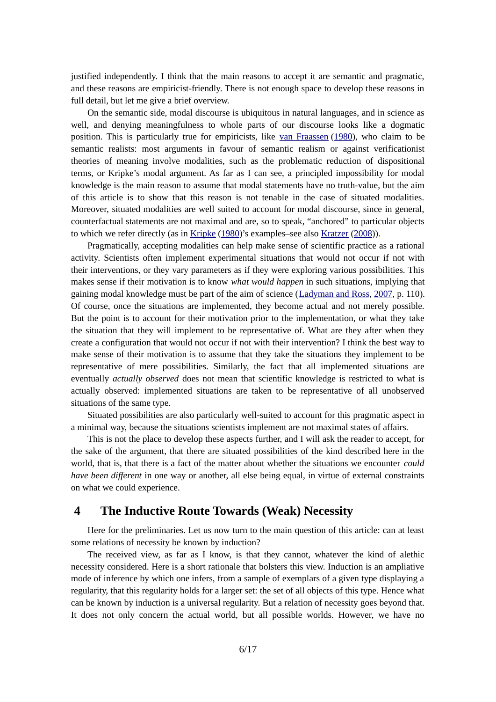justified independently. I think that the main reasons to accept it are semantic and pragmatic, and these reasons are empiricist-friendly. There is not enough space to develop these reasons in full detail, but let me give a brief overview.

On the semantic side, modal discourse is ubiquitous in natural languages, and in science as well, and denying meaningfulness to whole parts of our discourse looks like a dogmatic position. This is particularly true for empiricists, like [van Fraassen](#page-15-10) ([1980](#page-15-10)), who claim to be semantic realists: most arguments in favour of semantic realism or against verificationist theories of meaning involve modalities, such as the problematic reduction of dispositional terms, or Kripke's modal argument. As far as I can see, a principled impossibility for modal knowledge is the main reason to assume that modal statements have no truth-value, but the aim of this article is to show that this reason is not tenable in the case of situated modalities. Moreover, situated modalities are well suited to account for modal discourse, since in general, counterfactual statements are not maximal and are, so to speak, "anchored" to particular objects to which we refer directly (as in [Kripke](#page-15-9) [\(1980](#page-15-9))'s examples–see also [Kratzer](#page-15-7) ([2008\)](#page-15-7)).

Pragmatically, accepting modalities can help make sense of scientific practice as a rational activity. Scientists often implement experimental situations that would not occur if not with their interventions, or they vary parameters as if they were exploring various possibilities. This makes sense if their motivation is to know *what would happen* in such situations, implying that gaining modal knowledge must be part of the aim of science ([Ladyman and Ross,](#page-15-2) [2007](#page-15-2), p. 110). Of course, once the situations are implemented, they become actual and not merely possible. But the point is to account for their motivation prior to the implementation, or what they take the situation that they will implement to be representative of. What are they after when they create a configuration that would not occur if not with their intervention? I think the best way to make sense of their motivation is to assume that they take the situations they implement to be representative of mere possibilities. Similarly, the fact that all implemented situations are eventually *actually observed* does not mean that scientific knowledge is restricted to what is actually observed: implemented situations are taken to be representative of all unobserved situations of the same type.

Situated possibilities are also particularly well-suited to account for this pragmatic aspect in a minimal way, because the situations scientists implement are not maximal states of affairs.

This is not the place to develop these aspects further, and I will ask the reader to accept, for the sake of the argument, that there are situated possibilities of the kind described here in the world, that is, that there is a fact of the matter about whether the situations we encounter *could have been different* in one way or another, all else being equal, in virtue of external constraints on what we could experience.

# <span id="page-5-0"></span> **4 The Inductive Route Towards (Weak) Necessity**

Here for the preliminaries. Let us now turn to the main question of this article: can at least some relations of necessity be known by induction?

The received view, as far as I know, is that they cannot, whatever the kind of alethic necessity considered. Here is a short rationale that bolsters this view. Induction is an ampliative mode of inference by which one infers, from a sample of exemplars of a given type displaying a regularity, that this regularity holds for a larger set: the set of all objects of this type. Hence what can be known by induction is a universal regularity. But a relation of necessity goes beyond that. It does not only concern the actual world, but all possible worlds. However, we have no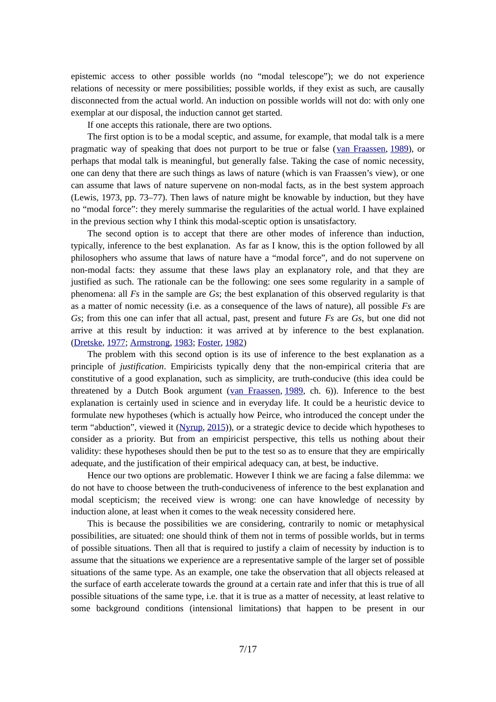epistemic access to other possible worlds (no "modal telescope"); we do not experience relations of necessity or mere possibilities; possible worlds, if they exist as such, are causally disconnected from the actual world. An induction on possible worlds will not do: with only one exemplar at our disposal, the induction cannot get started.

If one accepts this rationale, there are two options.

The first option is to be a modal sceptic, and assume, for example, that modal talk is a mere pragmatic way of speaking that does not purport to be true or false ([van Fraassen](#page-16-2), [1989](#page-16-2)), or perhaps that modal talk is meaningful, but generally false. Taking the case of nomic necessity, one can deny that there are such things as laws of nature (which is van Fraassen's view), or one can assume that laws of nature supervene on non-modal facts, as in the best system approach (Lewis, 1973, pp. 73–77). Then laws of nature might be knowable by induction, but they have no "modal force": they merely summarise the regularities of the actual world. I have explained in the previous section why I think this modal-sceptic option is unsatisfactory.

The second option is to accept that there are other modes of inference than induction, typically, inference to the best explanation. As far as I know, this is the option followed by all philosophers who assume that laws of nature have a "modal force", and do not supervene on non-modal facts: they assume that these laws play an explanatory role, and that they are justified as such. The rationale can be the following: one sees some regularity in a sample of phenomena: all *Fs* in the sample are *Gs*; the best explanation of this observed regularity is that as a matter of nomic necessity (i.e. as a consequence of the laws of nature), all possible *Fs* are *Gs*; from this one can infer that all actual, past, present and future *Fs* are *Gs*, but one did not arrive at this result by induction: it was arrived at by inference to the best explanation. ([Dretske](#page-15-13), [1977](#page-15-13); Armstrong, 1983; [Foster,](#page-15-12) [1982](#page-15-12))

The problem with this second option is its use of inference to the best explanation as a principle of *justification*. Empiricists typically deny that the non-empirical criteria that are constitutive of a good explanation, such as simplicity, are truth-conducive (this idea could be threatened by a Dutch Book argument ( $\frac{1989}{1989}$ , ch. 6)). Inference to the best explanation is certainly used in science and in everyday life. It could be a heuristic device to formulate new hypotheses (which is actually how Peirce, who introduced the concept under the term "abduction", viewed it [\(Nyrup](#page-15-11), [2015\)](#page-15-11)), or a strategic device to decide which hypotheses to consider as a priority. But from an empiricist perspective, this tells us nothing about their validity: these hypotheses should then be put to the test so as to ensure that they are empirically adequate, and the justification of their empirical adequacy can, at best, be inductive.

Hence our two options are problematic. However I think we are facing a false dilemma: we do not have to choose between the truth-conduciveness of inference to the best explanation and modal scepticism; the received view is wrong: one can have knowledge of necessity by induction alone, at least when it comes to the weak necessity considered here.

This is because the possibilities we are considering, contrarily to nomic or metaphysical possibilities, are situated: one should think of them not in terms of possible worlds, but in terms of possible situations. Then all that is required to justify a claim of necessity by induction is to assume that the situations we experience are a representative sample of the larger set of possible situations of the same type. As an example, one take the observation that all objects released at the surface of earth accelerate towards the ground at a certain rate and infer that this is true of all possible situations of the same type, i.e. that it is true as a matter of necessity, at least relative to some background conditions (intensional limitations) that happen to be present in our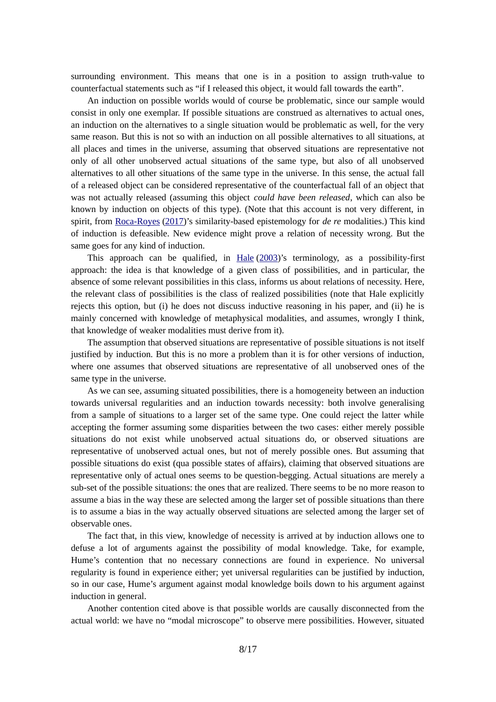surrounding environment. This means that one is in a position to assign truth-value to counterfactual statements such as "if I released this object, it would fall towards the earth".

An induction on possible worlds would of course be problematic, since our sample would consist in only one exemplar. If possible situations are construed as alternatives to actual ones, an induction on the alternatives to a single situation would be problematic as well, for the very same reason. But this is not so with an induction on all possible alternatives to all situations, at all places and times in the universe, assuming that observed situations are representative not only of all other unobserved actual situations of the same type, but also of all unobserved alternatives to all other situations of the same type in the universe. In this sense, the actual fall of a released object can be considered representative of the counterfactual fall of an object that was not actually released (assuming this object *could have been released*, which can also be known by induction on objects of this type). (Note that this account is not very different, in spirit, from [Roca-Royes](#page-15-0) (2017)'s similarity-based epistemology for *de re* modalities.) This kind of induction is defeasible. New evidence might prove a relation of necessity wrong. But the same goes for any kind of induction.

This approach can be qualified, in **Hale [\(2003](#page-15-14))**'s terminology, as a possibility-first approach: the idea is that knowledge of a given class of possibilities, and in particular, the absence of some relevant possibilities in this class, informs us about relations of necessity. Here, the relevant class of possibilities is the class of realized possibilities (note that Hale explicitly rejects this option, but (i) he does not discuss inductive reasoning in his paper, and (ii) he is mainly concerned with knowledge of metaphysical modalities, and assumes, wrongly I think, that knowledge of weaker modalities must derive from it).

The assumption that observed situations are representative of possible situations is not itself justified by induction. But this is no more a problem than it is for other versions of induction, where one assumes that observed situations are representative of all unobserved ones of the same type in the universe.

As we can see, assuming situated possibilities, there is a homogeneity between an induction towards universal regularities and an induction towards necessity: both involve generalising from a sample of situations to a larger set of the same type. One could reject the latter while accepting the former assuming some disparities between the two cases: either merely possible situations do not exist while unobserved actual situations do, or observed situations are representative of unobserved actual ones, but not of merely possible ones. But assuming that possible situations do exist (qua possible states of affairs), claiming that observed situations are representative only of actual ones seems to be question-begging. Actual situations are merely a sub-set of the possible situations: the ones that are realized. There seems to be no more reason to assume a bias in the way these are selected among the larger set of possible situations than there is to assume a bias in the way actually observed situations are selected among the larger set of observable ones.

The fact that, in this view, knowledge of necessity is arrived at by induction allows one to defuse a lot of arguments against the possibility of modal knowledge. Take, for example, Hume's contention that no necessary connections are found in experience. No universal regularity is found in experience either; yet universal regularities can be justified by induction, so in our case, Hume's argument against modal knowledge boils down to his argument against induction in general.

Another contention cited above is that possible worlds are causally disconnected from the actual world: we have no "modal microscope" to observe mere possibilities. However, situated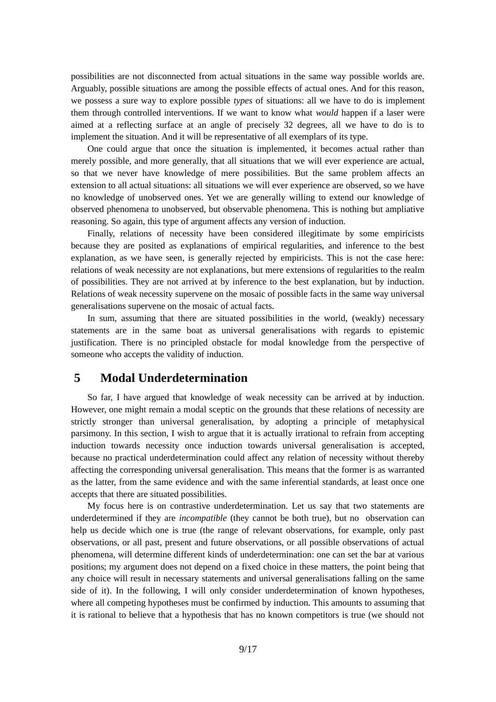possibilities are not disconnected from actual situations in the same way possible worlds are. Arguably, possible situations are among the possible effects of actual ones. And for this reason, we possess a sure way to explore possible *types* of situations: all we have to do is implement them through controlled interventions. If we want to know what *would* happen if a laser were aimed at a reflecting surface at an angle of precisely 32 degrees, all we have to do is to implement the situation. And it will be representative of all exemplars of its type.

One could argue that once the situation is implemented, it becomes actual rather than merely possible, and more generally, that all situations that we will ever experience are actual, so that we never have knowledge of mere possibilities. But the same problem affects an extension to all actual situations: all situations we will ever experience are observed, so we have no knowledge of unobserved ones. Yet we are generally willing to extend our knowledge of observed phenomena to unobserved, but observable phenomena. This is nothing but ampliative reasoning. So again, this type of argument affects any version of induction.

Finally, relations of necessity have been considered illegitimate by some empiricists because they are posited as explanations of empirical regularities, and inference to the best explanation, as we have seen, is generally rejected by empiricists. This is not the case here: relations of weak necessity are not explanations, but mere extensions of regularities to the realm of possibilities. They are not arrived at by inference to the best explanation, but by induction. Relations of weak necessity supervene on the mosaic of possible facts in the same way universal generalisations supervene on the mosaic of actual facts.

In sum, assuming that there are situated possibilities in the world, (weakly) necessary statements are in the same boat as universal generalisations with regards to epistemic justification. There is no principled obstacle for modal knowledge from the perspective of someone who accepts the validity of induction.

# <span id="page-8-0"></span> **5 Modal Underdetermination**

So far, I have argued that knowledge of weak necessity can be arrived at by induction. However, one might remain a modal sceptic on the grounds that these relations of necessity are strictly stronger than universal generalisation, by adopting a principle of metaphysical parsimony. In this section, I wish to argue that it is actually irrational to refrain from accepting induction towards necessity once induction towards universal generalisation is accepted, because no practical underdetermination could affect any relation of necessity without thereby affecting the corresponding universal generalisation. This means that the former is as warranted as the latter, from the same evidence and with the same inferential standards, at least once one accepts that there are situated possibilities.

My focus here is on contrastive underdetermination. Let us say that two statements are underdetermined if they are *incompatible* (they cannot be both true), but no observation can help us decide which one is true (the range of relevant observations, for example, only past observations, or all past, present and future observations, or all possible observations of actual phenomena, will determine different kinds of underdetermination: one can set the bar at various positions; my argument does not depend on a fixed choice in these matters, the point being that any choice will result in necessary statements and universal generalisations falling on the same side of it). In the following, I will only consider underdetermination of known hypotheses, where all competing hypotheses must be confirmed by induction. This amounts to assuming that it is rational to believe that a hypothesis that has no known competitors is true (we should not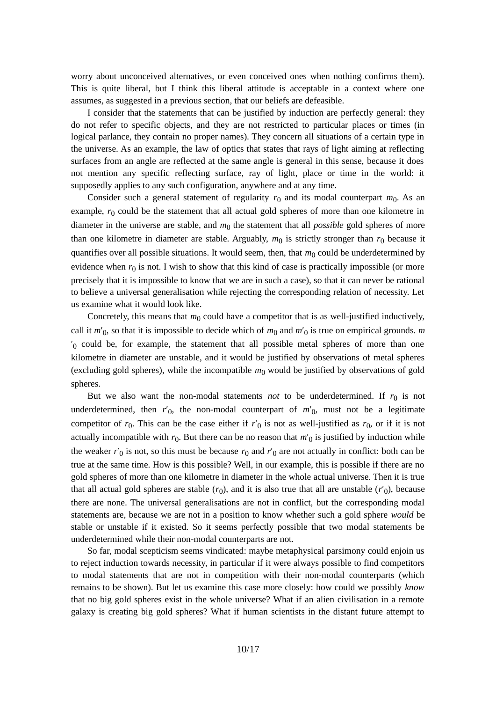worry about unconceived alternatives, or even conceived ones when nothing confirms them). This is quite liberal, but I think this liberal attitude is acceptable in a context where one assumes, as suggested in a previous section, that our beliefs are defeasible.

I consider that the statements that can be justified by induction are perfectly general: they do not refer to specific objects, and they are not restricted to particular places or times (in logical parlance, they contain no proper names). They concern all situations of a certain type in the universe. As an example, the law of optics that states that rays of light aiming at reflecting surfaces from an angle are reflected at the same angle is general in this sense, because it does not mention any specific reflecting surface, ray of light, place or time in the world: it supposedly applies to any such configuration, anywhere and at any time.

Consider such a general statement of regularity  $r_0$  and its modal counterpart  $m_0$ . As an example,  $r_0$  could be the statement that all actual gold spheres of more than one kilometre in diameter in the universe are stable, and  $m_0$  the statement that all *possible* gold spheres of more than one kilometre in diameter are stable. Arguably,  $m_0$  is strictly stronger than  $r_0$  because it quantifies over all possible situations. It would seem, then, that  $m_0$  could be underdetermined by evidence when  $r_0$  is not. I wish to show that this kind of case is practically impossible (or more precisely that it is impossible to know that we are in such a case), so that it can never be rational to believe a universal generalisation while rejecting the corresponding relation of necessity. Let us examine what it would look like.

Concretely, this means that  $m_0$  could have a competitor that is as well-justified inductively, call it *m*′<sup>0</sup> , so that it is impossible to decide which of *m*<sup>0</sup> and *m*′<sup>0</sup> is true on empirical grounds. *m*  $v_0$  could be, for example, the statement that all possible metal spheres of more than one kilometre in diameter are unstable, and it would be justified by observations of metal spheres (excluding gold spheres), while the incompatible  $m_0$  would be justified by observations of gold spheres.

But we also want the non-modal statements *not* to be underdetermined. If  $r_0$  is not underdetermined, then  $r'_{0}$ , the non-modal counterpart of  $m'_{0}$ , must not be a legitimate competitor of  $r_0$ . This can be the case either if  $r'_0$  is not as well-justified as  $r_0$ , or if it is not actually incompatible with  $r_0$ . But there can be no reason that  $m'_{\rm 0}$  is justified by induction while the weaker  $r'_{0}$  is not, so this must be because  $r_{0}$  and  $r'_{0}$  are not actually in conflict: both can be true at the same time. How is this possible? Well, in our example, this is possible if there are no gold spheres of more than one kilometre in diameter in the whole actual universe. Then it is true that all actual gold spheres are stable  $(r_0)$ , and it is also true that all are unstable  $(r'_0)$ , because there are none. The universal generalisations are not in conflict, but the corresponding modal statements are, because we are not in a position to know whether such a gold sphere *would* be stable or unstable if it existed. So it seems perfectly possible that two modal statements be underdetermined while their non-modal counterparts are not.

So far, modal scepticism seems vindicated: maybe metaphysical parsimony could enjoin us to reject induction towards necessity, in particular if it were always possible to find competitors to modal statements that are not in competition with their non-modal counterparts (which remains to be shown). But let us examine this case more closely: how could we possibly *know* that no big gold spheres exist in the whole universe? What if an alien civilisation in a remote galaxy is creating big gold spheres? What if human scientists in the distant future attempt to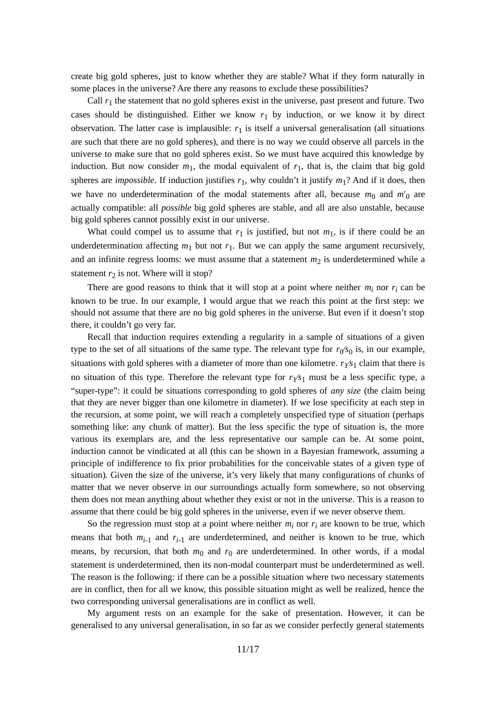create big gold spheres, just to know whether they are stable? What if they form naturally in some places in the universe? Are there any reasons to exclude these possibilities?

Call *r*<sup>1</sup> the statement that no gold spheres exist in the universe, past present and future. Two cases should be distinguished. Either we know *r*<sup>1</sup> by induction, or we know it by direct observation. The latter case is implausible: *r*<sup>1</sup> is itself a universal generalisation (all situations are such that there are no gold spheres), and there is no way we could observe all parcels in the universe to make sure that no gold spheres exist. So we must have acquired this knowledge by induction. But now consider  $m_1$ , the modal equivalent of  $r_1$ , that is, the claim that big gold spheres are *impossible*. If induction justifies *r*<sup>1</sup> , why couldn't it justify *m*1? And if it does, then we have no underdetermination of the modal statements after all, because  $m_0$  and  $m'_0$  are actually compatible: all *possible* big gold spheres are stable, and all are also unstable, because big gold spheres cannot possibly exist in our universe.

What could compel us to assume that  $r_1$  is justified, but not  $m_1$ , is if there could be an underdetermination affecting  $m_1$  but not  $r_1$ . But we can apply the same argument recursively, and an infinite regress looms: we must assume that a statement  $m_2$  is underdetermined while a statement  $r_2$  is not. Where will it stop?

There are good reasons to think that it will stop at a point where neither  $m_i$  nor  $r_i$  can be known to be true. In our example, I would argue that we reach this point at the first step: we should not assume that there are no big gold spheres in the universe. But even if it doesn't stop there, it couldn't go very far.

Recall that induction requires extending a regularity in a sample of situations of a given type to the set of all situations of the same type. The relevant type for  $r_0$ / $s_0$  is, in our example, situations with gold spheres with a diameter of more than one kilometre.  $r_Y\!\!s_1$  claim that there is no situation of this type. Therefore the relevant type for  $r<sub>1</sub>/s<sub>1</sub>$  must be a less specific type, a "super-type": it could be situations corresponding to gold spheres of *any size* (the claim being that they are never bigger than one kilometre in diameter). If we lose specificity at each step in the recursion, at some point, we will reach a completely unspecified type of situation (perhaps something like: any chunk of matter). But the less specific the type of situation is, the more various its exemplars are, and the less representative our sample can be. At some point, induction cannot be vindicated at all (this can be shown in a Bayesian framework, assuming a principle of indifference to fix prior probabilities for the conceivable states of a given type of situation). Given the size of the universe, it's very likely that many configurations of chunks of matter that we never observe in our surroundings actually form somewhere, so not observing them does not mean anything about whether they exist or not in the universe. This is a reason to assume that there could be big gold spheres in the universe, even if we never observe them.

So the regression must stop at a point where neither  $m_i$  nor  $r_i$  are known to be true, which means that both  $m_{i-1}$  and  $r_{i-1}$  are underdetermined, and neither is known to be true, which means, by recursion, that both  $m_0$  and  $r_0$  are underdetermined. In other words, if a modal statement is underdetermined, then its non-modal counterpart must be underdetermined as well. The reason is the following: if there can be a possible situation where two necessary statements are in conflict, then for all we know, this possible situation might as well be realized, hence the two corresponding universal generalisations are in conflict as well.

My argument rests on an example for the sake of presentation. However, it can be generalised to any universal generalisation, in so far as we consider perfectly general statements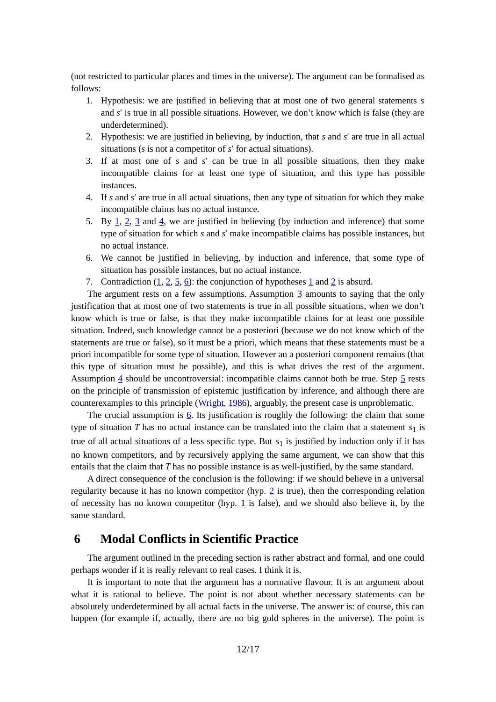(not restricted to particular places and times in the universe). The argument can be formalised as follows:

- 1. Hypothesis: we are justified in believing that at most one of two general statements *s* and *s*′ is true in all possible situations. However, we don't know which is false (they are underdetermined).
- <span id="page-11-2"></span><span id="page-11-1"></span>2. Hypothesis: we are justified in believing, by induction, that *s* and *s*′ are true in all actual situations (*s* is not a competitor of *s*′ for actual situations).
- 3. If at most one of *s* and *s*′ can be true in all possible situations, then they make incompatible claims for at least one type of situation, and this type has possible instances.
- <span id="page-11-6"></span><span id="page-11-5"></span>4. If *s* and *s*′ are true in all actual situations, then any type of situation for which they make incompatible claims has no actual instance.
- 5. By  $\perp$ ,  $\perp$ ,  $\perp$  and  $\perp$ , we are justified in believing (by induction and inference) that some type of situation for which *s* and *s*′ make incompatible claims has possible instances, but no actual instance.
- <span id="page-11-4"></span><span id="page-11-3"></span>6. We cannot be justified in believing, by induction and inference, that some type of situation has possible instances, but no actual instance.
- 7. Contradiction  $(1, 2, 5, 6)$  $(1, 2, 5, 6)$  $(1, 2, 5, 6)$  $(1, 2, 5, 6)$ : the conjunction of hypotheses [1](#page-11-1) and [2](#page-11-2) is absurd.

The argument rests on a few assumptions. Assumption [3](#page-11-6) amounts to saying that the only justification that at most one of two statements is true in all possible situations, when we don't know which is true or false, is that they make incompatible claims for at least one possible situation. Indeed, such knowledge cannot be a posteriori (because we do not know which of the statements are true or false), so it must be a priori, which means that these statements must be a priori incompatible for some type of situation. However an a posteriori component remains (that this type of situation must be possible), and this is what drives the rest of the argument. Assumption [4](#page-11-5) should be uncontroversial: incompatible claims cannot both be true. Step [5](#page-11-4) rests on the principle of transmission of epistemic justification by inference, and although there are counterexamples to this principle ([Wright,](#page-16-3) [1986](#page-16-3)), arguably, the present case is unproblematic.

The crucial assumption is  $6$ . Its justification is roughly the following: the claim that some type of situation  $T$  has no actual instance can be translated into the claim that a statement  $s_1$  is true of all actual situations of a less specific type. But  $s_1$  is justified by induction only if it has no known competitors, and by recursively applying the same argument, we can show that this entails that the claim that *T* has no possible instance is as well-justified, by the same standard.

A direct consequence of the conclusion is the following: if we should believe in a universal regularity because it has no known competitor (hyp. [2](#page-11-2) is true), then the corresponding relation of necessity has no known competitor (hyp.  $\underline{1}$  is false), and we should also believe it, by the same standard.

# <span id="page-11-0"></span> **6 Modal Conflicts in Scientific Practice**

The argument outlined in the preceding section is rather abstract and formal, and one could perhaps wonder if it is really relevant to real cases. I think it is.

It is important to note that the argument has a normative flavour. It is an argument about what it is rational to believe. The point is not about whether necessary statements can be absolutely underdetermined by all actual facts in the universe. The answer is: of course, this can happen (for example if, actually, there are no big gold spheres in the universe). The point is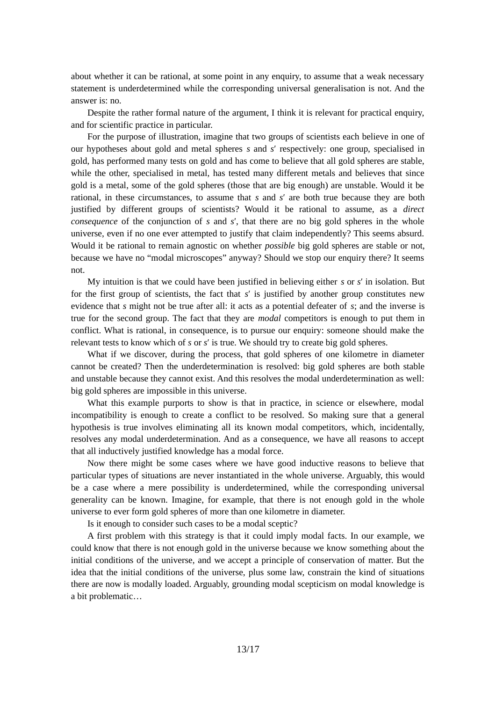about whether it can be rational, at some point in any enquiry, to assume that a weak necessary statement is underdetermined while the corresponding universal generalisation is not. And the answer is: no.

Despite the rather formal nature of the argument, I think it is relevant for practical enquiry, and for scientific practice in particular.

For the purpose of illustration, imagine that two groups of scientists each believe in one of our hypotheses about gold and metal spheres *s* and *s*′ respectively: one group, specialised in gold, has performed many tests on gold and has come to believe that all gold spheres are stable, while the other, specialised in metal, has tested many different metals and believes that since gold is a metal, some of the gold spheres (those that are big enough) are unstable. Would it be rational, in these circumstances, to assume that *s* and *s*′ are both true because they are both justified by different groups of scientists? Would it be rational to assume, as a *direct consequence* of the conjunction of *s* and *s*′, that there are no big gold spheres in the whole universe, even if no one ever attempted to justify that claim independently? This seems absurd. Would it be rational to remain agnostic on whether *possible* big gold spheres are stable or not, because we have no "modal microscopes" anyway? Should we stop our enquiry there? It seems not.

My intuition is that we could have been justified in believing either *s* or *s*′ in isolation. But for the first group of scientists, the fact that *s*′ is justified by another group constitutes new evidence that *s* might not be true after all: it acts as a potential defeater of *s*; and the inverse is true for the second group. The fact that they are *modal* competitors is enough to put them in conflict. What is rational, in consequence, is to pursue our enquiry: someone should make the relevant tests to know which of *s* or *s*′ is true. We should try to create big gold spheres.

What if we discover, during the process, that gold spheres of one kilometre in diameter cannot be created? Then the underdetermination is resolved: big gold spheres are both stable and unstable because they cannot exist. And this resolves the modal underdetermination as well: big gold spheres are impossible in this universe.

What this example purports to show is that in practice, in science or elsewhere, modal incompatibility is enough to create a conflict to be resolved. So making sure that a general hypothesis is true involves eliminating all its known modal competitors, which, incidentally, resolves any modal underdetermination. And as a consequence, we have all reasons to accept that all inductively justified knowledge has a modal force.

Now there might be some cases where we have good inductive reasons to believe that particular types of situations are never instantiated in the whole universe. Arguably, this would be a case where a mere possibility is underdetermined, while the corresponding universal generality can be known. Imagine, for example, that there is not enough gold in the whole universe to ever form gold spheres of more than one kilometre in diameter.

Is it enough to consider such cases to be a modal sceptic?

A first problem with this strategy is that it could imply modal facts. In our example, we could know that there is not enough gold in the universe because we know something about the initial conditions of the universe, and we accept a principle of conservation of matter. But the idea that the initial conditions of the universe, plus some law, constrain the kind of situations there are now is modally loaded. Arguably, grounding modal scepticism on modal knowledge is a bit problematic…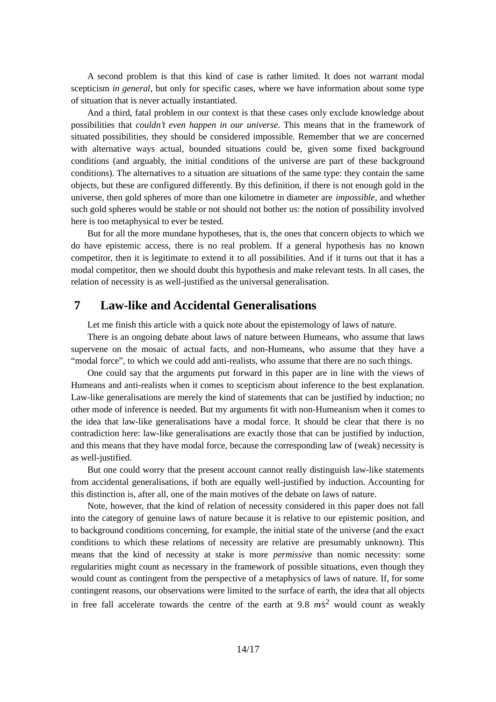A second problem is that this kind of case is rather limited. It does not warrant modal scepticism *in general*, but only for specific cases, where we have information about some type of situation that is never actually instantiated.

And a third, fatal problem in our context is that these cases only exclude knowledge about possibilities that *couldn't even happen in our universe*. This means that in the framework of situated possibilities, they should be considered impossible. Remember that we are concerned with alternative ways actual, bounded situations could be, given some fixed background conditions (and arguably, the initial conditions of the universe are part of these background conditions). The alternatives to a situation are situations of the same type: they contain the same objects, but these are configured differently. By this definition, if there is not enough gold in the universe, then gold spheres of more than one kilometre in diameter are *impossible*, and whether such gold spheres would be stable or not should not bother us: the notion of possibility involved here is too metaphysical to ever be tested.

But for all the more mundane hypotheses, that is, the ones that concern objects to which we do have epistemic access, there is no real problem. If a general hypothesis has no known competitor, then it is legitimate to extend it to all possibilities. And if it turns out that it has a modal competitor, then we should doubt this hypothesis and make relevant tests. In all cases, the relation of necessity is as well-justified as the universal generalisation.

# **7 Law-like and Accidental Generalisations**

<span id="page-13-0"></span>Let me finish this article with a quick note about the epistemology of laws of nature.

There is an ongoing debate about laws of nature between Humeans, who assume that laws supervene on the mosaic of actual facts, and non-Humeans, who assume that they have a "modal force", to which we could add anti-realists, who assume that there are no such things.

One could say that the arguments put forward in this paper are in line with the views of Humeans and anti-realists when it comes to scepticism about inference to the best explanation. Law-like generalisations are merely the kind of statements that can be justified by induction; no other mode of inference is needed. But my arguments fit with non-Humeanism when it comes to the idea that law-like generalisations have a modal force. It should be clear that there is no contradiction here: law-like generalisations are exactly those that can be justified by induction, and this means that they have modal force, because the corresponding law of (weak) necessity is as well-justified.

But one could worry that the present account cannot really distinguish law-like statements from accidental generalisations, if both are equally well-justified by induction. Accounting for this distinction is, after all, one of the main motives of the debate on laws of nature.

Note, however, that the kind of relation of necessity considered in this paper does not fall into the category of genuine laws of nature because it is relative to our epistemic position, and to background conditions concerning, for example, the initial state of the universe (and the exact conditions to which these relations of necessity are relative are presumably unknown). This means that the kind of necessity at stake is more *permissive* than nomic necessity: some regularities might count as necessary in the framework of possible situations, even though they would count as contingent from the perspective of a metaphysics of laws of nature. If, for some contingent reasons, our observations were limited to the surface of earth, the idea that all objects in free fall accelerate towards the centre of the earth at 9*.*8 *m∕s*<sup>2</sup> would count as weakly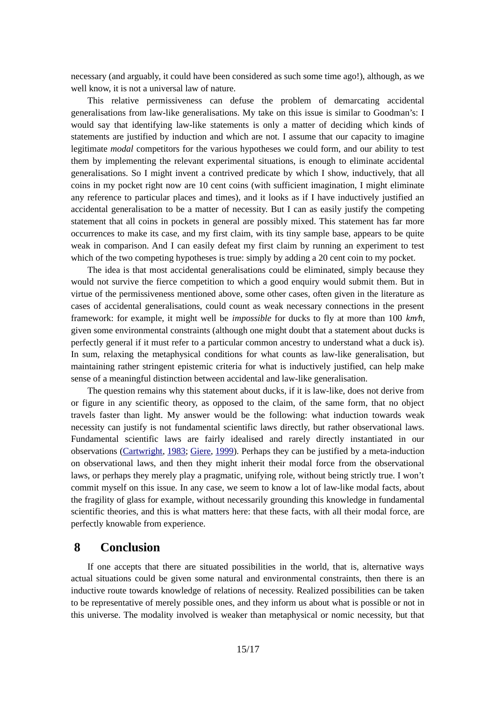necessary (and arguably, it could have been considered as such some time ago!), although, as we well know, it is not a universal law of nature.

This relative permissiveness can defuse the problem of demarcating accidental generalisations from law-like generalisations. My take on this issue is similar to Goodman's: I would say that identifying law-like statements is only a matter of deciding which kinds of statements are justified by induction and which are not. I assume that our capacity to imagine legitimate *modal* competitors for the various hypotheses we could form, and our ability to test them by implementing the relevant experimental situations, is enough to eliminate accidental generalisations. So I might invent a contrived predicate by which I show, inductively, that all coins in my pocket right now are 10 cent coins (with sufficient imagination, I might eliminate any reference to particular places and times), and it looks as if I have inductively justified an accidental generalisation to be a matter of necessity. But I can as easily justify the competing statement that all coins in pockets in general are possibly mixed. This statement has far more occurrences to make its case, and my first claim, with its tiny sample base, appears to be quite weak in comparison. And I can easily defeat my first claim by running an experiment to test which of the two competing hypotheses is true: simply by adding a 20 cent coin to my pocket.

The idea is that most accidental generalisations could be eliminated, simply because they would not survive the fierce competition to which a good enquiry would submit them. But in virtue of the permissiveness mentioned above, some other cases, often given in the literature as cases of accidental generalisations, could count as weak necessary connections in the present framework: for example, it might well be *impossible* for ducks to fly at more than 100 *km∕h*, given some environmental constraints (although one might doubt that a statement about ducks is perfectly general if it must refer to a particular common ancestry to understand what a duck is). In sum, relaxing the metaphysical conditions for what counts as law-like generalisation, but maintaining rather stringent epistemic criteria for what is inductively justified, can help make sense of a meaningful distinction between accidental and law-like generalisation.

The question remains why this statement about ducks, if it is law-like, does not derive from or figure in any scientific theory, as opposed to the claim, of the same form, that no object travels faster than light. My answer would be the following: what induction towards weak necessity can justify is not fundamental scientific laws directly, but rather observational laws. Fundamental scientific laws are fairly idealised and rarely directly instantiated in our observations [\(Cartwright](#page-15-16), [1983;](#page-15-16) [Giere](#page-15-15), [1999](#page-15-15)). Perhaps they can be justified by a meta-induction on observational laws, and then they might inherit their modal force from the observational laws, or perhaps they merely play a pragmatic, unifying role, without being strictly true. I won't commit myself on this issue. In any case, we seem to know a lot of law-like modal facts, about the fragility of glass for example, without necessarily grounding this knowledge in fundamental scientific theories, and this is what matters here: that these facts, with all their modal force, are perfectly knowable from experience.

# <span id="page-14-0"></span> **8 Conclusion**

If one accepts that there are situated possibilities in the world, that is, alternative ways actual situations could be given some natural and environmental constraints, then there is an inductive route towards knowledge of relations of necessity. Realized possibilities can be taken to be representative of merely possible ones, and they inform us about what is possible or not in this universe. The modality involved is weaker than metaphysical or nomic necessity, but that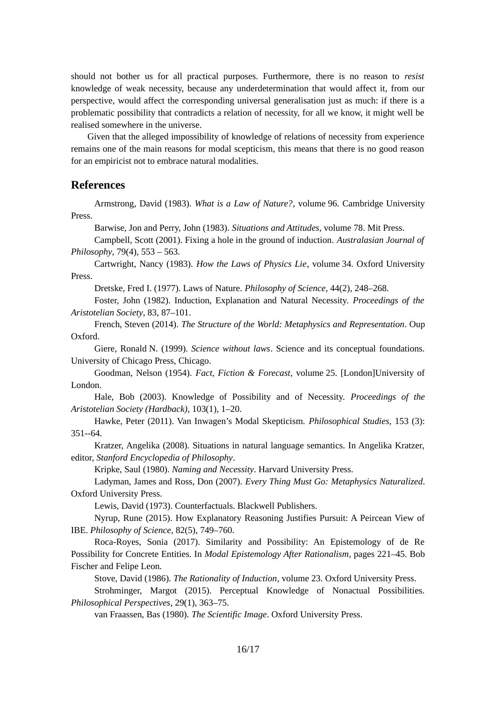should not bother us for all practical purposes. Furthermore, there is no reason to *resist* knowledge of weak necessity, because any underdetermination that would affect it, from our perspective, would affect the corresponding universal generalisation just as much: if there is a problematic possibility that contradicts a relation of necessity, for all we know, it might well be realised somewhere in the universe.

Given that the alleged impossibility of knowledge of relations of necessity from experience remains one of the main reasons for modal scepticism, this means that there is no good reason for an empiricist not to embrace natural modalities.

# **References**

Armstrong, David (1983). *What is a Law of Nature?*, volume 96. Cambridge University Press.

<span id="page-15-8"></span><span id="page-15-3"></span>Barwise, Jon and Perry, John (1983). *Situations and Attitudes*, volume 78. Mit Press.

Campbell, Scott (2001). Fixing a hole in the ground of induction. *Australasian Journal of Philosophy*, 79(4), 553 – 563.

<span id="page-15-16"></span>Cartwright, Nancy (1983). *How the Laws of Physics Lie*, volume 34. Oxford University Press.

<span id="page-15-13"></span><span id="page-15-12"></span>Dretske, Fred I. (1977). Laws of Nature. *Philosophy of Science*, 44(2), 248–268.

Foster, John (1982). Induction, Explanation and Natural Necessity. *Proceedings of the Aristotelian Society*, 83, 87–101.

<span id="page-15-6"></span>French, Steven (2014). *The Structure of the World: Metaphysics and Representation*. Oup Oxford.

<span id="page-15-15"></span>Giere, Ronald N. (1999). *Science without laws*. Science and its conceptual foundations. University of Chicago Press, Chicago.

<span id="page-15-5"></span>Goodman, Nelson (1954). *Fact, Fiction & Forecast*, volume 25. [London]University of London.

<span id="page-15-14"></span>Hale, Bob (2003). Knowledge of Possibility and of Necessity. *Proceedings of the Aristotelian Society (Hardback)*, 103(1), 1–20.

<span id="page-15-7"></span>Hawke, Peter (2011). Van Inwagen's Modal Skepticism. *Philosophical Studies,* 153 (3): 351--64.

Kratzer, Angelika (2008). Situations in natural language semantics. In Angelika Kratzer, editor, *Stanford Encyclopedia of Philosophy*.

<span id="page-15-9"></span><span id="page-15-2"></span>Kripke, Saul (1980). *Naming and Necessity*. Harvard University Press.

Ladyman, James and Ross, Don (2007). *Every Thing Must Go: Metaphysics Naturalized*. Oxford University Press.

<span id="page-15-11"></span>Lewis, David (1973). Counterfactuals. Blackwell Publishers.

Nyrup, Rune (2015). How Explanatory Reasoning Justifies Pursuit: A Peircean View of IBE. *Philosophy of Science*, 82(5), 749–760.

<span id="page-15-0"></span>Roca-Royes, Sonia (2017). Similarity and Possibility: An Epistemology of de Re Possibility for Concrete Entities. In *Modal Epistemology After Rationalism*, pages 221–45. Bob Fischer and Felipe Leon.

<span id="page-15-4"></span><span id="page-15-1"></span>Stove, David (1986). *The Rationality of Induction*, volume 23. Oxford University Press.

Strohminger, Margot (2015). Perceptual Knowledge of Nonactual Possibilities. *Philosophical Perspectives*, 29(1), 363–75.

<span id="page-15-10"></span>van Fraassen, Bas (1980). *The Scientific Image*. Oxford University Press.